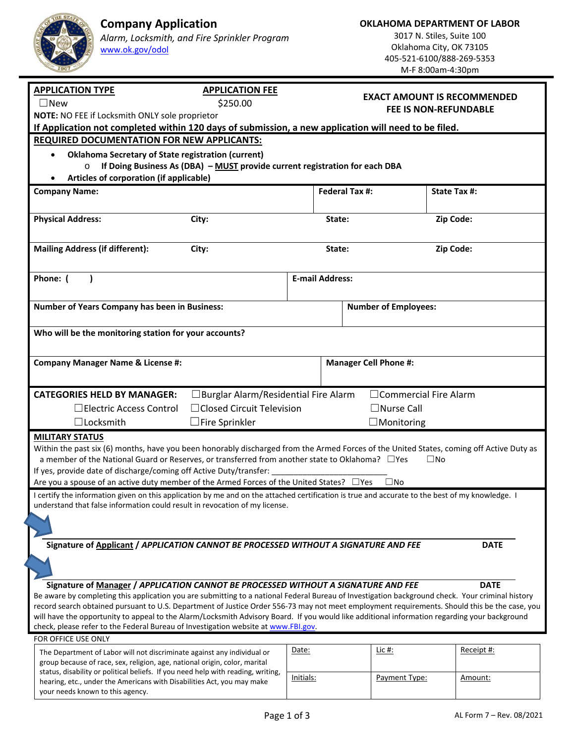**OKLAHOMA DEPARTMENT OF LABOR** 

3017 N. Stiles, Suite 100 Oklahoma City, OK 73105 405‐521‐6100/888‐269‐5353 M‐F 8:00am‐4:30pm

| <b>APPLICATION TYPE</b><br><b>APPLICATION FEE</b>                                                                                                          |                                    |                              |                     |  |  |
|------------------------------------------------------------------------------------------------------------------------------------------------------------|------------------------------------|------------------------------|---------------------|--|--|
| $\Box$ New<br>\$250.00                                                                                                                                     | <b>EXACT AMOUNT IS RECOMMENDED</b> |                              |                     |  |  |
| NOTE: NO FEE if Locksmith ONLY sole proprietor                                                                                                             | <b>FEE IS NON-REFUNDABLE</b>       |                              |                     |  |  |
| If Application not completed within 120 days of submission, a new application will need to be filed.                                                       |                                    |                              |                     |  |  |
| <b>REQUIRED DOCUMENTATION FOR NEW APPLICANTS:</b>                                                                                                          |                                    |                              |                     |  |  |
| <b>Oklahoma Secretary of State registration (current)</b><br>$\bullet$                                                                                     |                                    |                              |                     |  |  |
| If Doing Business As (DBA) - MUST provide current registration for each DBA<br>$\circ$                                                                     |                                    |                              |                     |  |  |
| Articles of corporation (if applicable)                                                                                                                    |                                    |                              |                     |  |  |
|                                                                                                                                                            |                                    |                              |                     |  |  |
| <b>Company Name:</b>                                                                                                                                       | <b>Federal Tax #:</b>              |                              | <b>State Tax #:</b> |  |  |
|                                                                                                                                                            |                                    |                              |                     |  |  |
| <b>Physical Address:</b><br>City:                                                                                                                          | State:                             |                              | Zip Code:           |  |  |
|                                                                                                                                                            |                                    |                              |                     |  |  |
| <b>Mailing Address (if different):</b><br>City:                                                                                                            | State:                             |                              | Zip Code:           |  |  |
|                                                                                                                                                            |                                    |                              |                     |  |  |
|                                                                                                                                                            |                                    |                              |                     |  |  |
| Phone: (                                                                                                                                                   | <b>E-mail Address:</b>             |                              |                     |  |  |
|                                                                                                                                                            |                                    |                              |                     |  |  |
| <b>Number of Years Company has been in Business:</b>                                                                                                       |                                    | <b>Number of Employees:</b>  |                     |  |  |
|                                                                                                                                                            |                                    |                              |                     |  |  |
| Who will be the monitoring station for your accounts?                                                                                                      |                                    |                              |                     |  |  |
|                                                                                                                                                            |                                    |                              |                     |  |  |
|                                                                                                                                                            |                                    |                              |                     |  |  |
| <b>Company Manager Name &amp; License #:</b>                                                                                                               |                                    | <b>Manager Cell Phone #:</b> |                     |  |  |
|                                                                                                                                                            |                                    |                              |                     |  |  |
|                                                                                                                                                            |                                    |                              |                     |  |  |
|                                                                                                                                                            |                                    |                              |                     |  |  |
| <b>CATEGORIES HELD BY MANAGER:</b><br>$\Box$ Burglar Alarm/Residential Fire Alarm                                                                          |                                    | $\Box$ Commercial Fire Alarm |                     |  |  |
| □ Closed Circuit Television<br>□ Electric Access Control                                                                                                   |                                    | $\Box$ Nurse Call            |                     |  |  |
| $\Box$ Locksmith<br>$\Box$ Fire Sprinkler                                                                                                                  |                                    | $\Box$ Monitoring            |                     |  |  |
| <b>MILITARY STATUS</b>                                                                                                                                     |                                    |                              |                     |  |  |
| Within the past six (6) months, have you been honorably discharged from the Armed Forces of the United States, coming off Active Duty as                   |                                    |                              |                     |  |  |
| a member of the National Guard or Reserves, or transferred from another state to Oklahoma? $\Box$ Yes                                                      |                                    |                              | $\square$ No        |  |  |
| If yes, provide date of discharge/coming off Active Duty/transfer:                                                                                         |                                    |                              |                     |  |  |
| Are you a spouse of an active duty member of the Armed Forces of the United States? $\Box$ Yes                                                             |                                    | $\square$ No                 |                     |  |  |
| I certify the information given on this application by me and on the attached certification is true and accurate to the best of my knowledge. I            |                                    |                              |                     |  |  |
| understand that false information could result in revocation of my license.                                                                                |                                    |                              |                     |  |  |
|                                                                                                                                                            |                                    |                              |                     |  |  |
|                                                                                                                                                            |                                    |                              |                     |  |  |
| Signature of Applicant / APPLICATION CANNOT BE PROCESSED WITHOUT A SIGNATURE AND FEE                                                                       |                                    |                              | <b>DATE</b>         |  |  |
|                                                                                                                                                            |                                    |                              |                     |  |  |
|                                                                                                                                                            |                                    |                              |                     |  |  |
| Signature of Manager / APPLICATION CANNOT BE PROCESSED WITHOUT A SIGNATURE AND FEE                                                                         |                                    |                              | <b>DATE</b>         |  |  |
| Be aware by completing this application you are submitting to a national Federal Bureau of Investigation background check. Your criminal history           |                                    |                              |                     |  |  |
| record search obtained pursuant to U.S. Department of Justice Order 556-73 may not meet employment requirements. Should this be the case, you              |                                    |                              |                     |  |  |
| will have the opportunity to appeal to the Alarm/Locksmith Advisory Board. If you would like additional information regarding your background              |                                    |                              |                     |  |  |
| check, please refer to the Federal Bureau of Investigation website at www.FBI.gov.                                                                         |                                    |                              |                     |  |  |
| FOR OFFICE USE ONLY                                                                                                                                        |                                    |                              |                     |  |  |
| The Department of Labor will not discriminate against any individual or                                                                                    | Date:                              | Lic #:                       | Receipt #:          |  |  |
| group because of race, sex, religion, age, national origin, color, marital                                                                                 |                                    |                              |                     |  |  |
| status, disability or political beliefs. If you need help with reading, writing,<br>hearing, etc., under the Americans with Disabilities Act, you may make | Initials:                          | Payment Type:                | Amount:             |  |  |

**Company Application** 

www.ok.gov/odol

*Alarm, Locksmith, and Fire Sprinkler Program*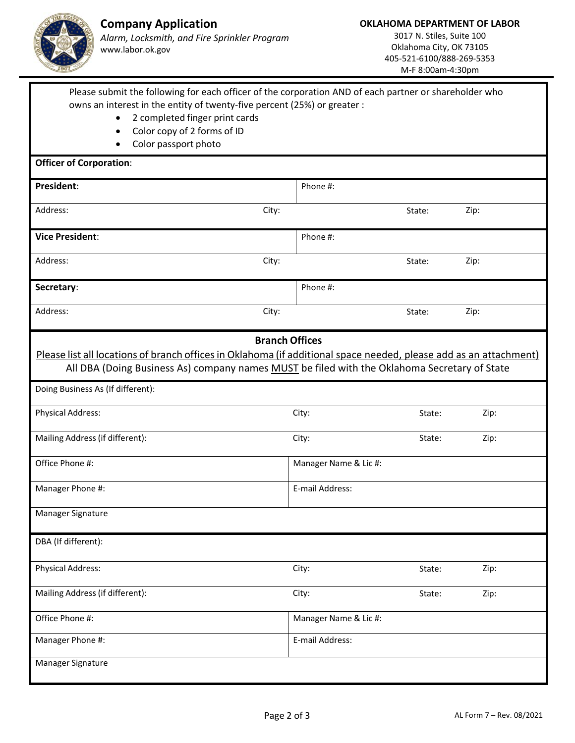

M‐F 8:00am‐4:30pm

| Please submit the following for each officer of the corporation AND of each partner or shareholder who                  |                       |        |      |  |
|-------------------------------------------------------------------------------------------------------------------------|-----------------------|--------|------|--|
| owns an interest in the entity of twenty-five percent (25%) or greater :<br>2 completed finger print cards<br>$\bullet$ |                       |        |      |  |
| Color copy of 2 forms of ID<br>$\bullet$                                                                                |                       |        |      |  |
| Color passport photo                                                                                                    |                       |        |      |  |
| <b>Officer of Corporation:</b>                                                                                          |                       |        |      |  |
| President:                                                                                                              | Phone #:              |        |      |  |
| Address:<br>City:                                                                                                       |                       | State: | Zip: |  |
| <b>Vice President:</b>                                                                                                  | Phone #:              |        |      |  |
| Address:<br>City:                                                                                                       |                       | State: | Zip: |  |
| Secretary:                                                                                                              | Phone #:              |        |      |  |
| Address:<br>City:                                                                                                       |                       | State: | Zip: |  |
|                                                                                                                         | <b>Branch Offices</b> |        |      |  |
| Please list all locations of branch offices in Oklahoma (if additional space needed, please add as an attachment)       |                       |        |      |  |
| All DBA (Doing Business As) company names MUST be filed with the Oklahoma Secretary of State                            |                       |        |      |  |
|                                                                                                                         |                       |        |      |  |
| Doing Business As (If different):                                                                                       |                       |        |      |  |
| <b>Physical Address:</b>                                                                                                | City:                 | State: | Zip: |  |
| Mailing Address (if different):                                                                                         | City:                 | State: | Zip: |  |
| Office Phone #:                                                                                                         | Manager Name & Lic #: |        |      |  |
| Manager Phone #:                                                                                                        | E-mail Address:       |        |      |  |
| Manager Signature                                                                                                       |                       |        |      |  |
| DBA (If different):                                                                                                     |                       |        |      |  |
| <b>Physical Address:</b>                                                                                                | City:                 | State: | Zip: |  |
| Mailing Address (if different):                                                                                         | City:                 | State: | Zip: |  |
| Office Phone #:                                                                                                         | Manager Name & Lic #: |        |      |  |
| Manager Phone #:                                                                                                        | E-mail Address:       |        |      |  |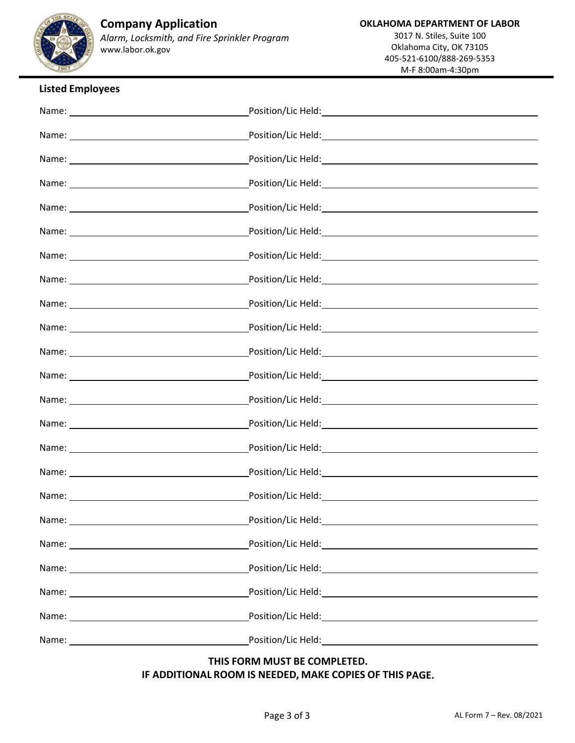

## **Company Application**  *Alarm, Locksmith, and Fire Sprinkler Program*

www.labor.ok.gov

### **Listed Employees**

|             | Position/Lic Held: 1999 - 1999 - 1999 - 1999 - 1999 - 1999 - 1999 - 1999 - 1999 - 1999 - 1999 - 1999 - 1999 -                                                                                                                  |
|-------------|--------------------------------------------------------------------------------------------------------------------------------------------------------------------------------------------------------------------------------|
|             |                                                                                                                                                                                                                                |
|             |                                                                                                                                                                                                                                |
|             |                                                                                                                                                                                                                                |
| Name: Name: |                                                                                                                                                                                                                                |
|             |                                                                                                                                                                                                                                |
|             | Position/Lic Held: 1999 - 1999 - 1999 - 1999 - 1999 - 1999 - 1999 - 1999 - 1999 - 1999 - 1999 - 1999 - 1999 - 1                                                                                                                |
|             | Position/Lic Held: National Assembly and Assembly and Assembly and Assembly and Assembly and Assembly and Assembly and Assembly and Assembly and Assembly and Assembly and Assembly and Assembly and Assembly and Assembly and |
|             |                                                                                                                                                                                                                                |
|             |                                                                                                                                                                                                                                |
|             |                                                                                                                                                                                                                                |
|             |                                                                                                                                                                                                                                |
|             | Position/Lic Held: with the contract of the contract of the contract of the contract of the contract of the co                                                                                                                 |
|             |                                                                                                                                                                                                                                |
|             |                                                                                                                                                                                                                                |
|             |                                                                                                                                                                                                                                |
|             |                                                                                                                                                                                                                                |
|             |                                                                                                                                                                                                                                |
|             | Position/Lic Held: National Position And Position And Position And Position And Position And Position And Posi                                                                                                                 |
|             |                                                                                                                                                                                                                                |
|             | Position/Lic Held: National Position of the Contract of the Contract of the Contract of the Contract of the Co                                                                                                                 |
| Name: Name: | Position/Lic Held: National Accounts and Accounts and Accounts and Accounts and Accounts and Accounts and Accounts and Accounts and Accounts and Accounts and Accounts and Accounts and Accounts and Accounts and Accounts and |
|             |                                                                                                                                                                                                                                |

# **THIS FORM MUST BE COMPLETED.**

**IF ADDITIONAL ROOM IS NEEDED, MAKE COPIES OF THIS PAGE.**